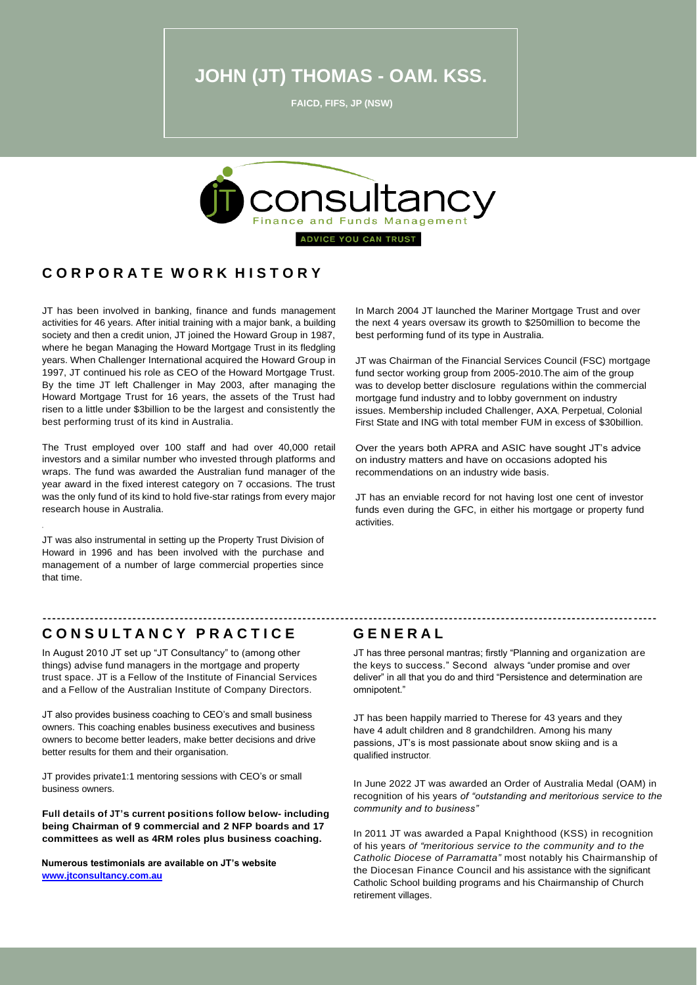**JOHN (JT) THOMAS - OAM. KSS.**

**FAICD, FIFS, JP (NSW)**



#### **C O R P O R A T E W O R K H I S T O R Y**

JT has been involved in banking, finance and funds management activities for 46 years. After initial training with a major bank, a building society and then a credit union, JT joined the Howard Group in 1987, where he began Managing the Howard Mortgage Trust in its fledgling years. When Challenger International acquired the Howard Group in 1997, JT continued his role as CEO of the Howard Mortgage Trust. By the time JT left Challenger in May 2003, after managing the Howard Mortgage Trust for 16 years, the assets of the Trust had risen to a little under \$3billion to be the largest and consistently the best performing trust of its kind in Australia.

The Trust employed over 100 staff and had over 40,000 retail investors and a similar number who invested through platforms and wraps. The fund was awarded the Australian fund manager of the year award in the fixed interest category on 7 occasions. The trust was the only fund of its kind to hold five-star ratings from every major research house in Australia.

JT was also instrumental in setting up the Property Trust Division of Howard in 1996 and has been involved with the purchase and management of a number of large commercial properties since that time.

In March 2004 JT launched the Mariner Mortgage Trust and over the next 4 years oversaw its growth to \$250million to become the best performing fund of its type in Australia.

JT was Chairman of the Financial Services Council (FSC) mortgage fund sector working group from 2005-2010.The aim of the group was to develop better disclosure regulations within the commercial mortgage fund industry and to lobby government on industry issues. Membership included Challenger, AXA, Perpetual, Colonial First State and ING with total member FUM in excess of \$30billion.

Over the years both APRA and ASIC have sought JT's advice on industry matters and have on occasions adopted his recommendations on an industry wide basis.

JT has an enviable record for not having lost one cent of investor funds even during the GFC, in either his mortgage or property fund activities.

### **C O N S U L T A N C Y P R A C T I C E G E N E R A L**

.

In August 2010 JT set up "JT Consultancy" to (among other things) advise fund managers in the mortgage and property trust space. JT is a Fellow of the Institute of Financial Services and a Fellow of the Australian Institute of Company Directors.

JT also provides business coaching to CEO's and small business owners. This coaching enables business executives and business owners to become better leaders, make better decisions and drive better results for them and their organisation.

JT provides private1:1 mentoring sessions with CEO's or small business owners.

**Full details of JT's current positions follow below- including being Chairman of 9 commercial and 2 NFP boards and 17 committees as well as 4RM roles plus business coaching.**

 **Numerous testimonials are available on JT's website [www.jtconsultancy.com.au](http://www.jtconsultancy.com.au/)**

JT has three personal mantras; firstly "Planning and organization are the keys to success." Second always "under promise and over deliver" in all that you do and third "Persistence and determination are omnipotent."

----------------------------------------------------------------------------------------------------------------------------------

JT has been happily married to Therese for 43 years and they have 4 adult children and 8 grandchildren. Among his many passions, JT's is most passionate about snow skiing and is a qualified instructor.

In June 2022 JT was awarded an Order of Australia Medal (OAM) in recognition of his years *of "outstanding and meritorious service to the community and to business"* 

In 2011 JT was awarded a Papal Knighthood (KSS) in recognition of his years *of "meritorious service to the community and to the Catholic Diocese of Parramatta"* most notably his Chairmanship of the Diocesan Finance Council and his assistance with the significant Catholic School building programs and his Chairmanship of Church retirement villages.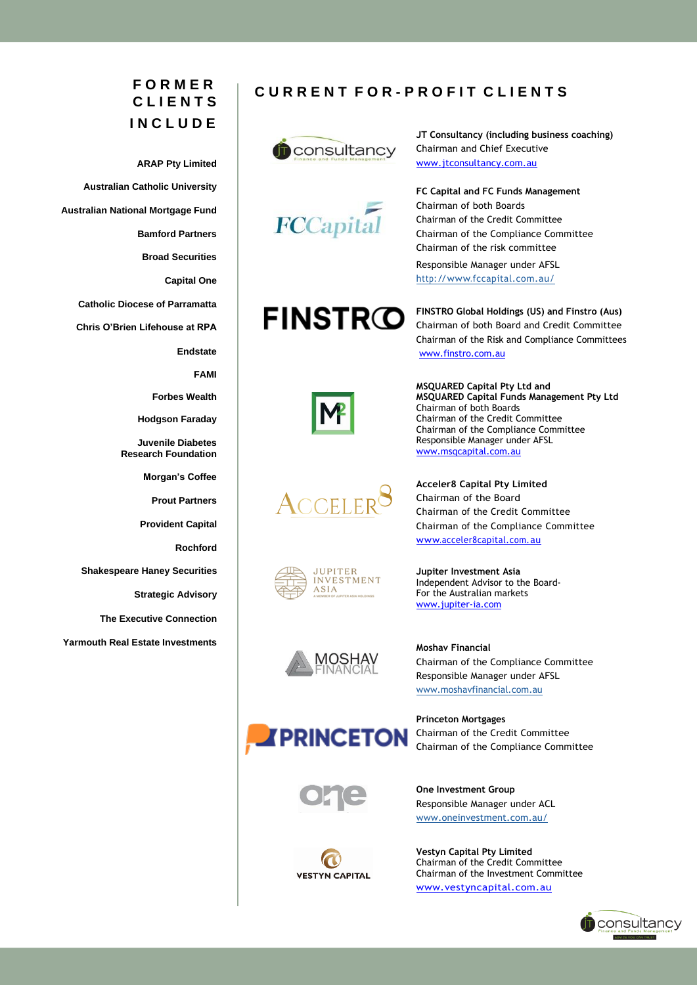# **F O R M E R C L I E N T S I N C L U D E**

**ARAP Pty Limited Australian Catholic University Australian National Mortgage Fund Bamford Partners Broad Securities Capital One Catholic Diocese of Parramatta Chris O'Brien Lifehouse at RPA Endstate FAMI Forbes Wealth Hodgson Faraday Juvenile Diabetes Research Foundation Morgan's Coffee Prout Partners Provident Capital Rochford Shakespeare Haney Securities Strategic Advisory The Executive Connection Yarmouth Real Estate Investments**

## **C U R R E N T F O R - P R O F I T C L I E N T S**



**JT Consultancy (including business coaching)** Chairman and Chief Executive [www.jtconsultancy.com.au](http://www.jtconsultancy.com.au/)



**FC Capital and FC Funds Management** Chairman of both Boards Chairman of the Credit Committee Chairman of the Compliance Committee Chairman of the risk committee

Responsible Manager under AFSL <http://www.fccapital.com.au/>

**FINSTRO** 

**FINSTRO Global Holdings (US) and Finstro (Aus)** Chairman of both Board and Credit Committee Chairman of the Risk and Compliance Committees [www.finstro.com.au](http://www.finstro.com.au/)



**MSQUARED Capital Pty Ltd and MSQUARED Capital Funds Management Pty Ltd** Chairman of both Boards Chairman of the Credit Committee Chairman of the Compliance Committee Responsible Manager under AFSL [www.msqcapital.com.au](http://www.msqcapital.com.au/)



**Acceler8 Capital Pty Limited** Chairman of the Board Chairman of the Credit Committee Chairman of the Compliance Committee [www.acceler8capital.com.au](http://www.acceler8capital.com.au/)



**Jupiter Investment Asia** Independent Advisor to the Board-For the Australian markets [www.jupiter-ia.com](http://www.jupiter-ia.com/)



**Moshav Financial** Chairman of the Compliance Committee Responsible Manager under AFSL [www.moshavfinancial.com.au](http://www.moshavfinancial.com.au/)



**Princeton Mortgages** Chairman of the Credit Committee Chairman of the Compliance Committee



**One Investment Group** Responsible Manager under ACL [www.oneinvestment.com.au/](http://www.oneinvestment.com.au/)



**Vestyn Capital Pty Limited**  Chairman of the Credit Committee Chairman of the Investment Committee [www.vestyncapital.com.au](http://www.vestyncapital.com.au/)